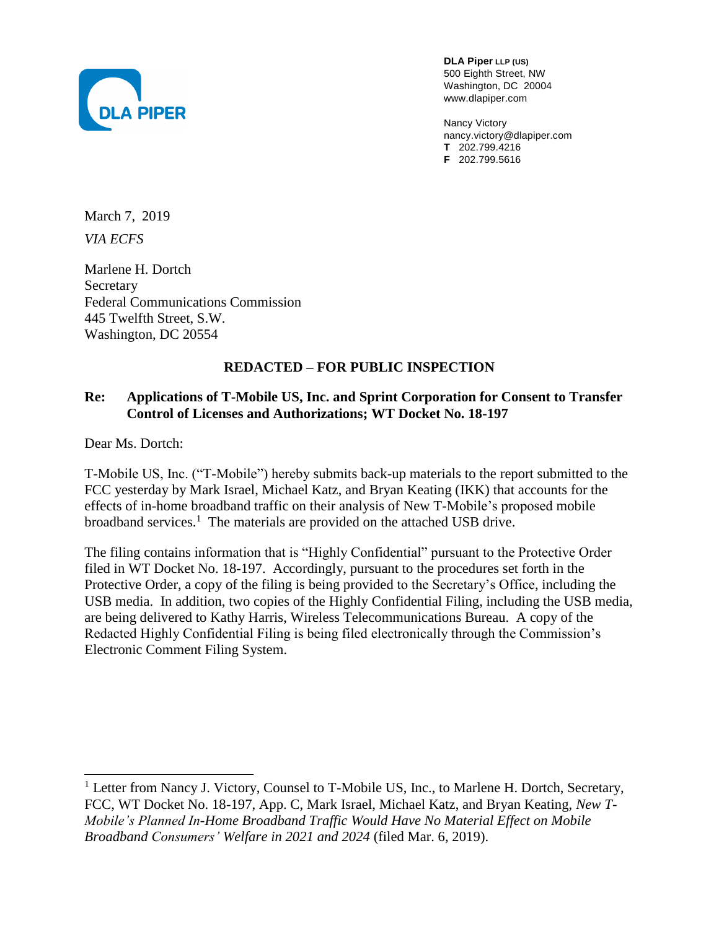

**DLA Piper LLP (US)** 500 Eighth Street, NW Washington, DC 20004 www.dlapiper.com

Nancy Victory nancy.victory@dlapiper.com **T** 202.799.4216 **F** 202.799.5616

March 7, 2019 *VIA ECFS*

Marlene H. Dortch Secretary Federal Communications Commission 445 Twelfth Street, S.W. Washington, DC 20554

## **REDACTED – FOR PUBLIC INSPECTION**

## **Re: Applications of T-Mobile US, Inc. and Sprint Corporation for Consent to Transfer Control of Licenses and Authorizations; WT Docket No. 18-197**

Dear Ms. Dortch:

l

T-Mobile US, Inc. ("T-Mobile") hereby submits back-up materials to the report submitted to the FCC yesterday by Mark Israel, Michael Katz, and Bryan Keating (IKK) that accounts for the effects of in-home broadband traffic on their analysis of New T-Mobile's proposed mobile broadband services.<sup>1</sup> The materials are provided on the attached USB drive.

The filing contains information that is "Highly Confidential" pursuant to the Protective Order filed in WT Docket No. 18-197. Accordingly, pursuant to the procedures set forth in the Protective Order, a copy of the filing is being provided to the Secretary's Office, including the USB media. In addition, two copies of the Highly Confidential Filing, including the USB media, are being delivered to Kathy Harris, Wireless Telecommunications Bureau. A copy of the Redacted Highly Confidential Filing is being filed electronically through the Commission's Electronic Comment Filing System.

<sup>&</sup>lt;sup>1</sup> Letter from Nancy J. Victory, Counsel to T-Mobile US, Inc., to Marlene H. Dortch, Secretary, FCC, WT Docket No. 18-197, App. C, Mark Israel, Michael Katz, and Bryan Keating, *New T-Mobile's Planned In-Home Broadband Traffic Would Have No Material Effect on Mobile Broadband Consumers' Welfare in 2021 and 2024* (filed Mar. 6, 2019).